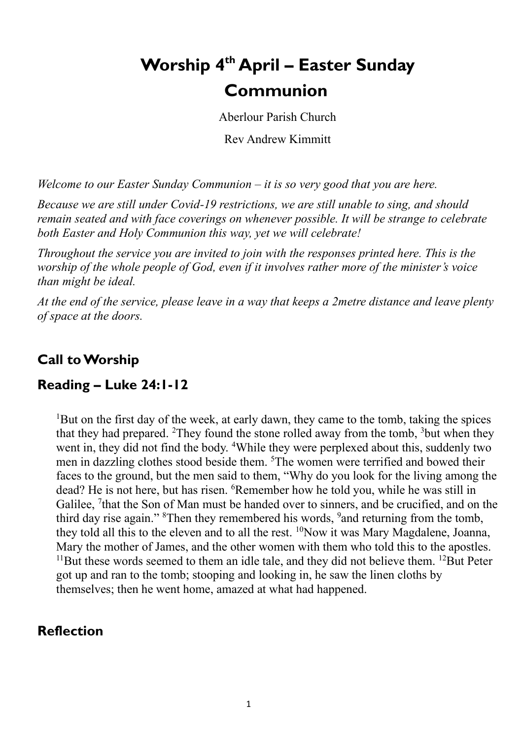# **Worship 4 th April – Easter Sunday Communion**

Aberlour Parish Church

Rev Andrew Kimmitt

*Welcome to our Easter Sunday Communion – it is so very good that you are here.*

*Because we are still under Covid-19 restrictions, we are still unable to sing, and should remain seated and with face coverings on whenever possible. It will be strange to celebrate both Easter and Holy Communion this way, yet we will celebrate!*

*Throughout the service you are invited to join with the responses printed here. This is the worship of the whole people of God, even if it involves rather more of the minister's voice than might be ideal.* 

*At the end of the service, please leave in a way that keeps a 2metre distance and leave plenty of space at the doors.*

## **Call to Worship**

## **Reading – Luke 24:1-12**

<sup>1</sup>But on the first day of the week, at early dawn, they came to the tomb, taking the spices that they had prepared. <sup>2</sup>They found the stone rolled away from the tomb,  $3$ but when they went in, they did not find the body. <sup>4</sup>While they were perplexed about this, suddenly two men in dazzling clothes stood beside them. <sup>5</sup>The women were terrified and bowed their faces to the ground, but the men said to them, "Why do you look for the living among the dead? He is not here, but has risen. <sup>6</sup>Remember how he told you, while he was still in Galilee, <sup>7</sup> that the Son of Man must be handed over to sinners, and be crucified, and on the third day rise again." <sup>8</sup>Then they remembered his words, <sup>9</sup> and returning from the tomb, they told all this to the eleven and to all the rest.  $^{10}$ Now it was Mary Magdalene, Joanna, Mary the mother of James, and the other women with them who told this to the apostles.  $11$ But these words seemed to them an idle tale, and they did not believe them.  $12$ But Peter got up and ran to the tomb; stooping and looking in, he saw the linen cloths by themselves; then he went home, amazed at what had happened.

## **Reflection**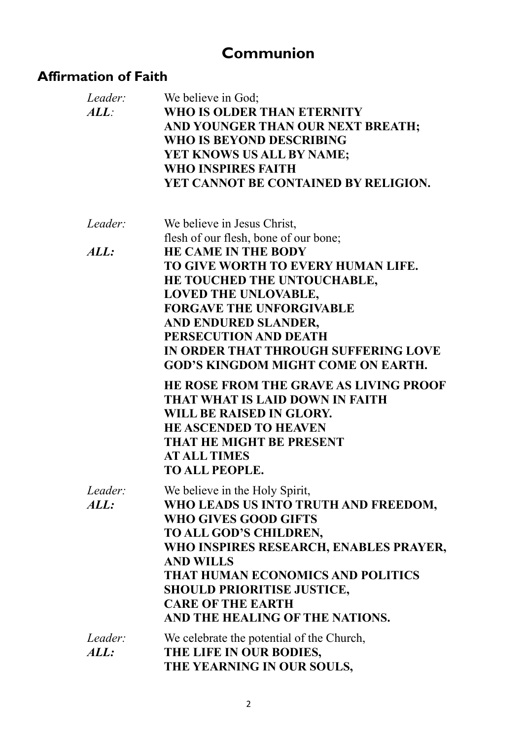## **Communion**

## **Affirmation of Faith**

| Leader:<br>ALL: | We believe in God;<br>WHO IS OLDER THAN ETERNITY<br>AND YOUNGER THAN OUR NEXT BREATH;<br>WHO IS BEYOND DESCRIBING<br>YET KNOWS US ALL BY NAME;<br><b>WHO INSPIRES FAITH</b><br>YET CANNOT BE CONTAINED BY RELIGION. |
|-----------------|---------------------------------------------------------------------------------------------------------------------------------------------------------------------------------------------------------------------|
| Leader:         | We believe in Jesus Christ,                                                                                                                                                                                         |
|                 | flesh of our flesh, bone of our bone;                                                                                                                                                                               |
| ALL:            | <b>HE CAME IN THE BODY</b>                                                                                                                                                                                          |
|                 | TO GIVE WORTH TO EVERY HUMAN LIFE.                                                                                                                                                                                  |
|                 | HE TOUCHED THE UNTOUCHABLE,<br><b>LOVED THE UNLOVABLE,</b>                                                                                                                                                          |
|                 | <b>FORGAVE THE UNFORGIVABLE</b>                                                                                                                                                                                     |
|                 | AND ENDURED SLANDER,                                                                                                                                                                                                |
|                 | PERSECUTION AND DEATH                                                                                                                                                                                               |
|                 | IN ORDER THAT THROUGH SUFFERING LOVE                                                                                                                                                                                |
|                 | <b>GOD'S KINGDOM MIGHT COME ON EARTH.</b>                                                                                                                                                                           |
|                 | HE ROSE FROM THE GRAVE AS LIVING PROOF                                                                                                                                                                              |
|                 | THAT WHAT IS LAID DOWN IN FAITH                                                                                                                                                                                     |
|                 | WILL BE RAISED IN GLORY.<br><b>HE ASCENDED TO HEAVEN</b>                                                                                                                                                            |
|                 | THAT HE MIGHT BE PRESENT                                                                                                                                                                                            |
|                 | <b>AT ALL TIMES</b>                                                                                                                                                                                                 |
|                 | <b>TO ALL PEOPLE.</b>                                                                                                                                                                                               |
| Leader:         | We believe in the Holy Spirit,                                                                                                                                                                                      |
| ALL:            | WHO LEADS US INTO TRUTH AND FREEDOM,                                                                                                                                                                                |
|                 | WHO GIVES GOOD GIFTS                                                                                                                                                                                                |
|                 | TO ALL GOD'S CHILDREN,                                                                                                                                                                                              |
|                 | WHO INSPIRES RESEARCH, ENABLES PRAYER,                                                                                                                                                                              |
|                 | <b>AND WILLS</b>                                                                                                                                                                                                    |
|                 | THAT HUMAN ECONOMICS AND POLITICS<br><b>SHOULD PRIORITISE JUSTICE,</b>                                                                                                                                              |
|                 | <b>CARE OF THE EARTH</b>                                                                                                                                                                                            |
|                 | AND THE HEALING OF THE NATIONS.                                                                                                                                                                                     |
| Leader:         | We celebrate the potential of the Church,                                                                                                                                                                           |
| ALL:            | THE LIFE IN OUR BODIES,                                                                                                                                                                                             |
|                 | THE YEARNING IN OUR SOULS,                                                                                                                                                                                          |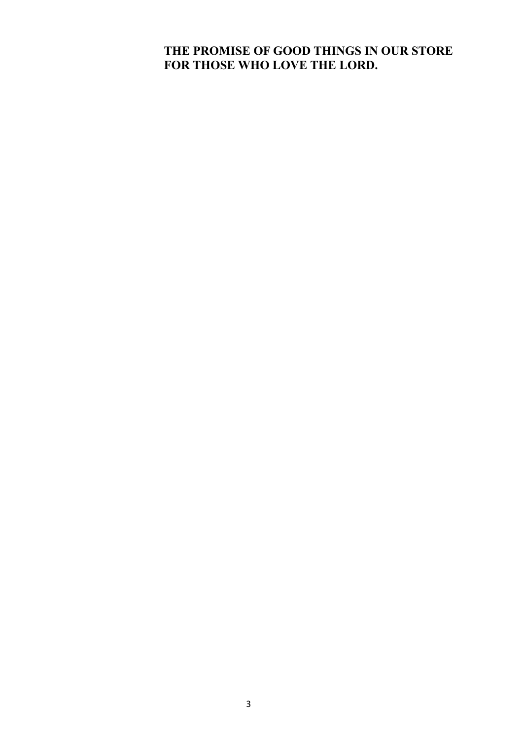#### **THE PROMISE OF GOOD THINGS IN OUR STORE FOR THOSE WHO LOVE THE LORD.**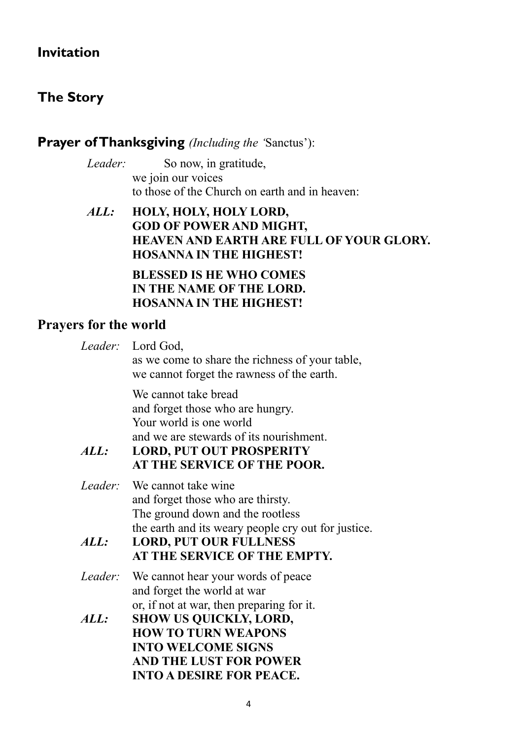## **Invitation**

## **The Story**

## **Prayer of Thanksgiving** *(Including the '*Sanctus'):

*Leader:* So now, in gratitude, we join our voices to those of the Church on earth and in heaven:

#### *ALL:* **HOLY, HOLY, HOLY LORD, GOD OF POWER AND MIGHT, HEAVEN AND EARTH ARE FULL OF YOUR GLORY. HOSANNA IN THE HIGHEST!**

#### **BLESSED IS HE WHO COMES IN THE NAME OF THE LORD. HOSANNA IN THE HIGHEST!**

## **Prayers for the world**

|                 | Leader: Lord God,<br>as we come to share the richness of your table,<br>we cannot forget the rawness of the earth.                                                                               |
|-----------------|--------------------------------------------------------------------------------------------------------------------------------------------------------------------------------------------------|
| ALL:            | We cannot take bread<br>and forget those who are hungry.<br>Your world is one world<br>and we are stewards of its nourishment.<br><b>LORD, PUT OUT PROSPERITY</b><br>AT THE SERVICE OF THE POOR. |
| Leader:<br>ALL: | We cannot take wine<br>and forget those who are thirsty.<br>The ground down and the rootless<br>the earth and its weary people cry out for justice.<br><b>LORD, PUT OUR FULLNESS</b>             |
|                 | AT THE SERVICE OF THE EMPTY.                                                                                                                                                                     |
| Leader:         | We cannot hear your words of peace<br>and forget the world at war                                                                                                                                |
| ALL:            | or, if not at war, then preparing for it.<br><b>SHOW US QUICKLY, LORD,</b><br><b>HOW TO TURN WEAPONS</b><br><b>INTO WELCOME SIGNS</b><br><b>AND THE LUST FOR POWER</b>                           |
|                 | <b>INTO A DESIRE FOR PEACE.</b>                                                                                                                                                                  |